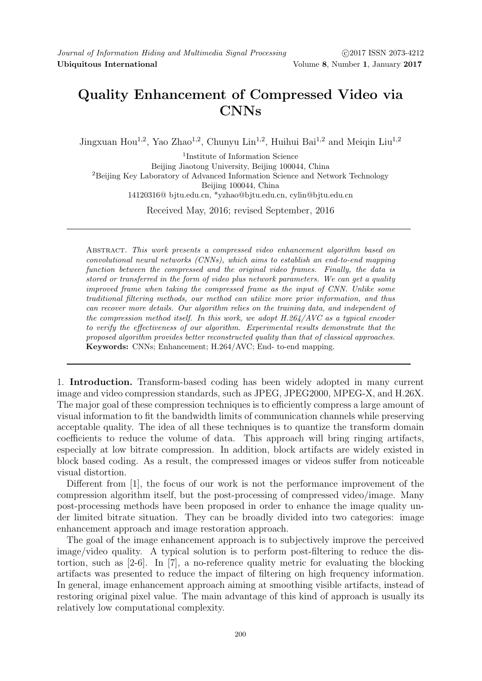## Quality Enhancement of Compressed Video via CNNs

Jingxuan Hou<sup>1,2</sup>, Yao Zhao<sup>1,2</sup>, Chunyu Lin<sup>1,2</sup>, Huihui Bai<sup>1,2</sup> and Meigin Liu<sup>1,2</sup>

1 Institute of Information Science Beijing Jiaotong University, Beijing 100044, China <sup>2</sup>Beijing Key Laboratory of Advanced Information Science and Network Technology Beijing 100044, China 14120316@ bjtu.edu.cn, \*yzhao@bjtu.edu.cn, cylin@bjtu.edu.cn Received May, 2016; revised September, 2016

Abstract. This work presents a compressed video enhancement algorithm based on convolutional neural networks (CNNs), which aims to establish an end-to-end mapping function between the compressed and the original video frames. Finally, the data is stored or transferred in the form of video plus network parameters. We can get a quality improved frame when taking the compressed frame as the input of CNN. Unlike some traditional filtering methods, our method can utilize more prior information, and thus can recover more details. Our algorithm relies on the training data, and independent of the compression method itself. In this work, we adopt  $H.264/AVC$  as a typical encoder to verify the effectiveness of our algorithm. Experimental results demonstrate that the proposed algorithm provides better reconstructed quality than that of classical approaches. Keywords: CNNs; Enhancement; H.264/AVC; End- to-end mapping.

1. Introduction. Transform-based coding has been widely adopted in many current image and video compression standards, such as JPEG, JPEG2000, MPEG-X, and H.26X. The major goal of these compression techniques is to efficiently compress a large amount of visual information to fit the bandwidth limits of communication channels while preserving acceptable quality. The idea of all these techniques is to quantize the transform domain coefficients to reduce the volume of data. This approach will bring ringing artifacts, especially at low bitrate compression. In addition, block artifacts are widely existed in block based coding. As a result, the compressed images or videos suffer from noticeable visual distortion.

Different from [1], the focus of our work is not the performance improvement of the compression algorithm itself, but the post-processing of compressed video/image. Many post-processing methods have been proposed in order to enhance the image quality under limited bitrate situation. They can be broadly divided into two categories: image enhancement approach and image restoration approach.

The goal of the image enhancement approach is to subjectively improve the perceived image/video quality. A typical solution is to perform post-filtering to reduce the distortion, such as [2-6]. In [7], a no-reference quality metric for evaluating the blocking artifacts was presented to reduce the impact of filtering on high frequency information. In general, image enhancement approach aiming at smoothing visible artifacts, instead of restoring original pixel value. The main advantage of this kind of approach is usually its relatively low computational complexity.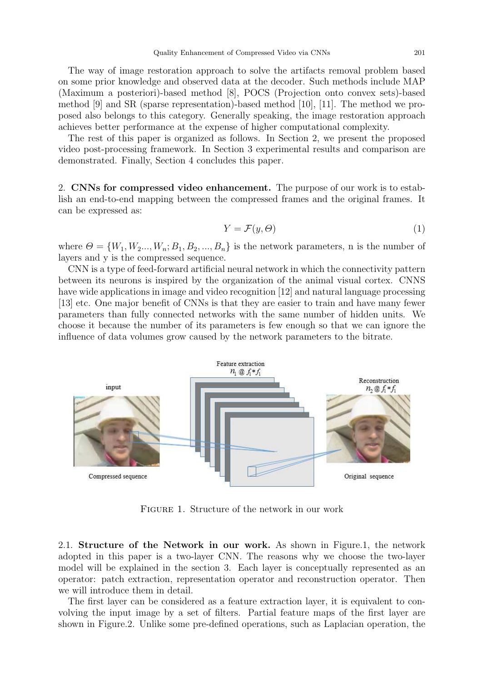The way of image restoration approach to solve the artifacts removal problem based on some prior knowledge and observed data at the decoder. Such methods include MAP (Maximum a posteriori)-based method [8], POCS (Projection onto convex sets)-based method [9] and SR (sparse representation)-based method [10], [11]. The method we proposed also belongs to this category. Generally speaking, the image restoration approach achieves better performance at the expense of higher computational complexity.

The rest of this paper is organized as follows. In Section 2, we present the proposed video post-processing framework. In Section 3 experimental results and comparison are demonstrated. Finally, Section 4 concludes this paper.

2. CNNs for compressed video enhancement. The purpose of our work is to establish an end-to-end mapping between the compressed frames and the original frames. It can be expressed as:

$$
Y = \mathcal{F}(y, \Theta) \tag{1}
$$

where  $\Theta = \{W_1, W_2..., W_n; B_1, B_2,..., B_n\}$  is the network parameters, n is the number of layers and y is the compressed sequence.

CNN is a type of feed-forward artificial neural network in which the connectivity pattern between its neurons is inspired by the organization of the animal visual cortex. CNNS have wide applications in image and video recognition [12] and natural language processing [13] etc. One major benefit of CNNs is that they are easier to train and have many fewer parameters than fully connected networks with the same number of hidden units. We choose it because the number of its parameters is few enough so that we can ignore the influence of data volumes grow caused by the network parameters to the bitrate.



Figure 1. Structure of the network in our work

2.1. Structure of the Network in our work. As shown in Figure.1, the network adopted in this paper is a two-layer CNN. The reasons why we choose the two-layer model will be explained in the section 3. Each layer is conceptually represented as an operator: patch extraction, representation operator and reconstruction operator. Then we will introduce them in detail.

The first layer can be considered as a feature extraction layer, it is equivalent to convolving the input image by a set of filters. Partial feature maps of the first layer are shown in Figure.2. Unlike some pre-defined operations, such as Laplacian operation, the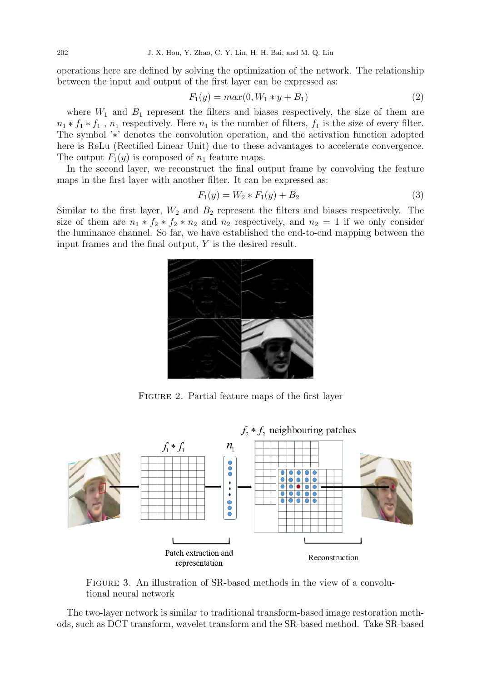operations here are defined by solving the optimization of the network. The relationship between the input and output of the first layer can be expressed as:

$$
F_1(y) = max(0, W_1 * y + B_1)
$$
\n(2)

where  $W_1$  and  $B_1$  represent the filters and biases respectively, the size of them are  $n_1 * f_1 * f_1$ ,  $n_1$  respectively. Here  $n_1$  is the number of filters,  $f_1$  is the size of every filter. The symbol '∗' denotes the convolution operation, and the activation function adopted here is ReLu (Rectified Linear Unit) due to these advantages to accelerate convergence. The output  $F_1(y)$  is composed of  $n_1$  feature maps.

In the second layer, we reconstruct the final output frame by convolving the feature maps in the first layer with another filter. It can be expressed as:

$$
F_1(y) = W_2 * F_1(y) + B_2 \tag{3}
$$

Similar to the first layer,  $W_2$  and  $B_2$  represent the filters and biases respectively. The size of them are  $n_1 * f_2 * f_2 * n_2$  and  $n_2$  respectively, and  $n_2 = 1$  if we only consider the luminance channel. So far, we have established the end-to-end mapping between the input frames and the final output,  $Y$  is the desired result.



FIGURE 2. Partial feature maps of the first layer



Figure 3. An illustration of SR-based methods in the view of a convolutional neural network

The two-layer network is similar to traditional transform-based image restoration methods, such as DCT transform, wavelet transform and the SR-based method. Take SR-based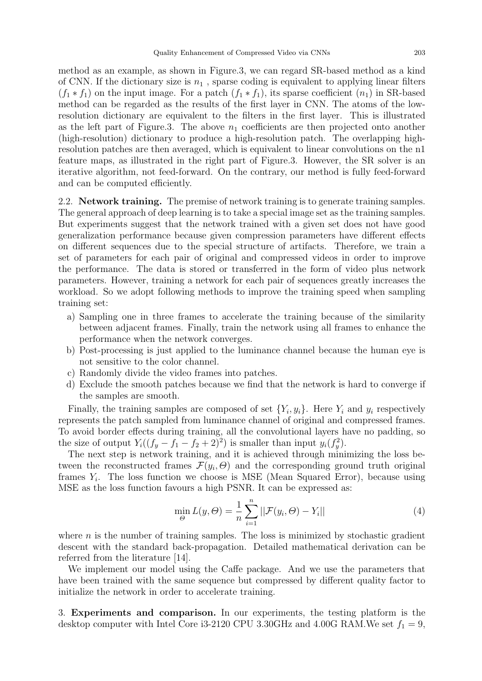method as an example, as shown in Figure.3, we can regard SR-based method as a kind of CNN. If the dictionary size is  $n_1$ , sparse coding is equivalent to applying linear filters  $(f_1 * f_1)$  on the input image. For a patch  $(f_1 * f_1)$ , its sparse coefficient  $(n_1)$  in SR-based method can be regarded as the results of the first layer in CNN. The atoms of the lowresolution dictionary are equivalent to the filters in the first layer. This is illustrated as the left part of Figure.3. The above  $n_1$  coefficients are then projected onto another (high-resolution) dictionary to produce a high-resolution patch. The overlapping highresolution patches are then averaged, which is equivalent to linear convolutions on the n1 feature maps, as illustrated in the right part of Figure.3. However, the SR solver is an iterative algorithm, not feed-forward. On the contrary, our method is fully feed-forward and can be computed efficiently.

2.2. **Network training.** The premise of network training is to generate training samples. The general approach of deep learning is to take a special image set as the training samples. But experiments suggest that the network trained with a given set does not have good generalization performance because given compression parameters have different effects on different sequences due to the special structure of artifacts. Therefore, we train a set of parameters for each pair of original and compressed videos in order to improve the performance. The data is stored or transferred in the form of video plus network parameters. However, training a network for each pair of sequences greatly increases the workload. So we adopt following methods to improve the training speed when sampling training set:

- a) Sampling one in three frames to accelerate the training because of the similarity between adjacent frames. Finally, train the network using all frames to enhance the performance when the network converges.
- b) Post-processing is just applied to the luminance channel because the human eye is not sensitive to the color channel.
- c) Randomly divide the video frames into patches.
- d) Exclude the smooth patches because we find that the network is hard to converge if the samples are smooth.

Finally, the training samples are composed of set  $\{Y_i, y_i\}$ . Here  $Y_i$  and  $y_i$  respectively represents the patch sampled from luminance channel of original and compressed frames. To avoid border effects during training, all the convolutional layers have no padding, so the size of output  $Y_i((f_y - f_1 - f_2 + 2)^2)$  is smaller than input  $y_i(f_y^2)$ .

The next step is network training, and it is achieved through minimizing the loss between the reconstructed frames  $\mathcal{F}(y_i, \Theta)$  and the corresponding ground truth original frames  $Y_i$ . The loss function we choose is MSE (Mean Squared Error), because using MSE as the loss function favours a high PSNR. It can be expressed as:

$$
\min_{\Theta} L(y, \Theta) = \frac{1}{n} \sum_{i=1}^{n} ||\mathcal{F}(y_i, \Theta) - Y_i|| \tag{4}
$$

where  $n$  is the number of training samples. The loss is minimized by stochastic gradient descent with the standard back-propagation. Detailed mathematical derivation can be referred from the literature [14].

We implement our model using the Caffe package. And we use the parameters that have been trained with the same sequence but compressed by different quality factor to initialize the network in order to accelerate training.

3. Experiments and comparison. In our experiments, the testing platform is the desktop computer with Intel Core i3-2120 CPU 3.30GHz and 4.00G RAM. We set  $f_1 = 9$ ,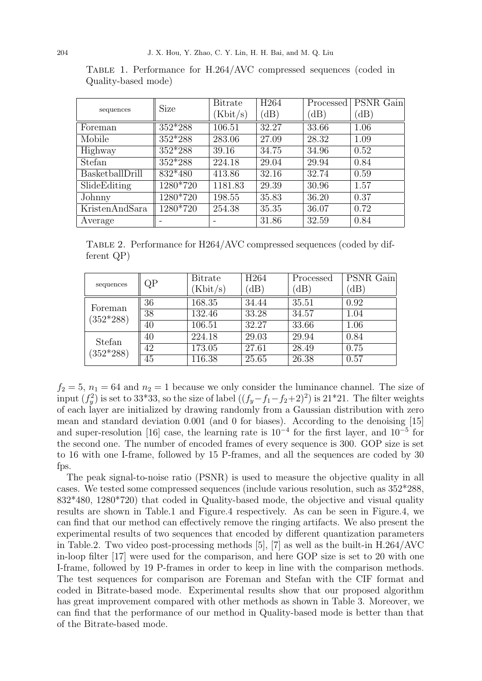|                 | <b>Size</b> | <b>Bitrate</b> | H <sub>264</sub> | Processed | PSNR Gain |
|-----------------|-------------|----------------|------------------|-----------|-----------|
| sequences       |             | (Kbit/s)       | (dB)             | (dB)      | (dB)      |
| Foreman         | $352*288$   | 106.51         | 32.27            | 33.66     | 1.06      |
| Mobile          | $352*288$   | 283.06         | 27.09            | 28.32     | 1.09      |
| Highway         | $352*288$   | 39.16          | 34.75            | 34.96     | 0.52      |
| Stefan          | $352*288$   | 224.18         | 29.04            | 29.94     | 0.84      |
| BasketballDrill | $832*480$   | 413.86         | 32.16            | 32.74     | 0.59      |
| SlideEditing    | 1280*720    | 1181.83        | 29.39            | 30.96     | 1.57      |
| Johnny          | 1280*720    | 198.55         | 35.83            | 36.20     | 0.37      |
| KristenAndSara  | 1280*720    | 254.38         | 35.35            | 36.07     | 0.72      |
| Average         |             |                | 31.86            | 32.59     | 0.84      |

Table 1. Performance for H.264/AVC compressed sequences (coded in Quality-based mode)

Table 2. Performance for H264/AVC compressed sequences (coded by different QP)

| sequences              | QР              | <b>Bitrate</b> | H <sub>264</sub> | Processed | <b>PSNR</b> Gain |
|------------------------|-----------------|----------------|------------------|-----------|------------------|
|                        |                 | (Kbit/s)       | dB)              | $\Delta$  | (dB)             |
| Foreman<br>$(352*288)$ | 36              | 168.35         | 34.44            | 35.51     | 0.92             |
|                        | $\overline{38}$ | 132.46         | 33.28            | 34.57     | 1.04             |
|                        | 40              | 106.51         | 32.27            | 33.66     | 1.06             |
| Stefan<br>$(352*288)$  | 40              | 224.18         | 29.03            | 29.94     | 0.84             |
|                        | 42              | 173.05         | 27.61            | 28.49     | 0.75             |
|                        | 45              | 116.38         | 25.65            | 26.38     | 0.57             |

 $f_2 = 5$ ,  $n_1 = 64$  and  $n_2 = 1$  because we only consider the luminance channel. The size of input  $(f_y^2)$  is set to 33\*33, so the size of label  $((f_y-f_1-f_2+2)^2)$  is 21\*21. The filter weights of each layer are initialized by drawing randomly from a Gaussian distribution with zero mean and standard deviation 0.001 (and 0 for biases). According to the denoising [15] and super-resolution [16] case, the learning rate is  $10^{-4}$  for the first layer, and  $10^{-5}$  for the second one. The number of encoded frames of every sequence is 300. GOP size is set to 16 with one I-frame, followed by 15 P-frames, and all the sequences are coded by 30 fps.

The peak signal-to-noise ratio (PSNR) is used to measure the objective quality in all cases. We tested some compressed sequences (include various resolution, such as 352\*288, 832\*480, 1280\*720) that coded in Quality-based mode, the objective and visual quality results are shown in Table.1 and Figure.4 respectively. As can be seen in Figure.4, we can find that our method can effectively remove the ringing artifacts. We also present the experimental results of two sequences that encoded by different quantization parameters in Table.2. Two video post-processing methods [5], [7] as well as the built-in H.264/AVC in-loop filter [17] were used for the comparison, and here GOP size is set to 20 with one I-frame, followed by 19 P-frames in order to keep in line with the comparison methods. The test sequences for comparison are Foreman and Stefan with the CIF format and coded in Bitrate-based mode. Experimental results show that our proposed algorithm has great improvement compared with other methods as shown in Table 3. Moreover, we can find that the performance of our method in Quality-based mode is better than that of the Bitrate-based mode.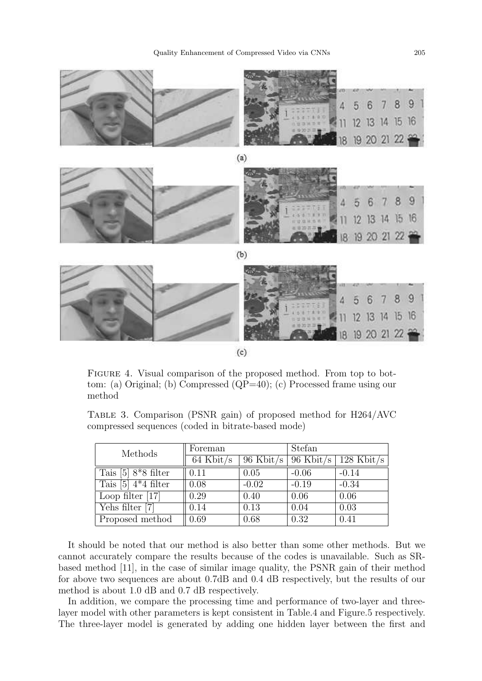

FIGURE 4. Visual comparison of the proposed method. From top to bottom: (a) Original; (b) Compressed (QP=40); (c) Processed frame using our method

Table 3. Comparison (PSNR gain) of proposed method for H264/AVC compressed sequences (coded in bitrate-based mode)

| Methods                            | Foreman     |                       | Stefan  |                                |
|------------------------------------|-------------|-----------------------|---------|--------------------------------|
|                                    | $64$ Kbit/s | 96 Kbit/s   96 Kbit/s |         | 128 $\overline{\text{Kbit/s}}$ |
| Tais $[5]$ 8 <sup>*</sup> 8 filter | 0.11        | 0.05                  | $-0.06$ | $-0.14$                        |
| Tais $[5]$ 4 <sup>*</sup> 4 filter | 0.08        | $-0.02$               | $-0.19$ | $-0.34$                        |
| Loop filter $[17]$                 | 0.29        | 0.40                  | 0.06    | 0.06                           |
| Yehs filter [7]                    | 0.14        | 0.13                  | 0.04    | 0.03                           |
| Proposed method                    | 0.69        | 0.68                  | 0.32    | 0.41                           |

It should be noted that our method is also better than some other methods. But we cannot accurately compare the results because of the codes is unavailable. Such as SRbased method [11], in the case of similar image quality, the PSNR gain of their method for above two sequences are about 0.7dB and 0.4 dB respectively, but the results of our method is about 1.0 dB and 0.7 dB respectively.

In addition, we compare the processing time and performance of two-layer and threelayer model with other parameters is kept consistent in Table.4 and Figure.5 respectively. The three-layer model is generated by adding one hidden layer between the first and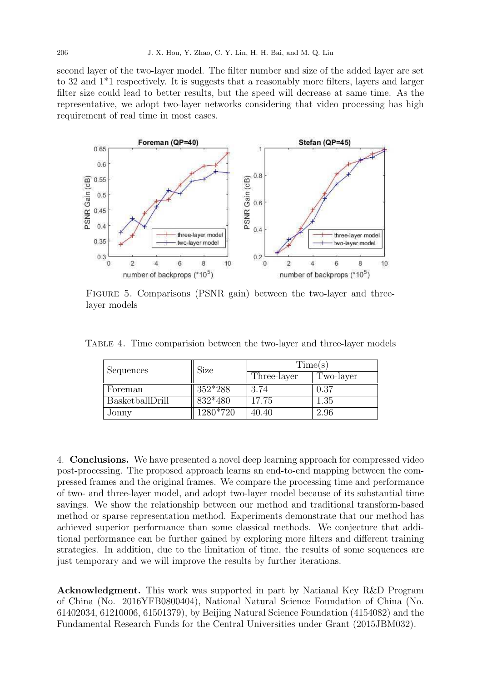second layer of the two-layer model. The filter number and size of the added layer are set to 32 and 1\*1 respectively. It is suggests that a reasonably more filters, layers and larger filter size could lead to better results, but the speed will decrease at same time. As the representative, we adopt two-layer networks considering that video processing has high requirement of real time in most cases.



FIGURE 5. Comparisons (PSNR gain) between the two-layer and threelayer models

Table 4. Time comparision between the two-layer and three-layer models

| Sequences       | Size     | Time(s)     |           |  |
|-----------------|----------|-------------|-----------|--|
|                 |          | Three-layer | Two-layer |  |
| Foreman         | 352*288  | 3.74        | 0.37      |  |
| BasketballDrill | 832*480  | 17.75       | 1.35      |  |
| Jonny           | 1280*720 | 40.40       | 2.96      |  |

4. Conclusions. We have presented a novel deep learning approach for compressed video post-processing. The proposed approach learns an end-to-end mapping between the compressed frames and the original frames. We compare the processing time and performance of two- and three-layer model, and adopt two-layer model because of its substantial time savings. We show the relationship between our method and traditional transform-based method or sparse representation method. Experiments demonstrate that our method has achieved superior performance than some classical methods. We conjecture that additional performance can be further gained by exploring more filters and different training strategies. In addition, due to the limitation of time, the results of some sequences are just temporary and we will improve the results by further iterations.

Acknowledgment. This work was supported in part by Natianal Key R&D Program of China (No. 2016YFB0800404), National Natural Science Foundation of China (No. 61402034, 61210006, 61501379), by Beijing Natural Science Foundation (4154082) and the Fundamental Research Funds for the Central Universities under Grant (2015JBM032).